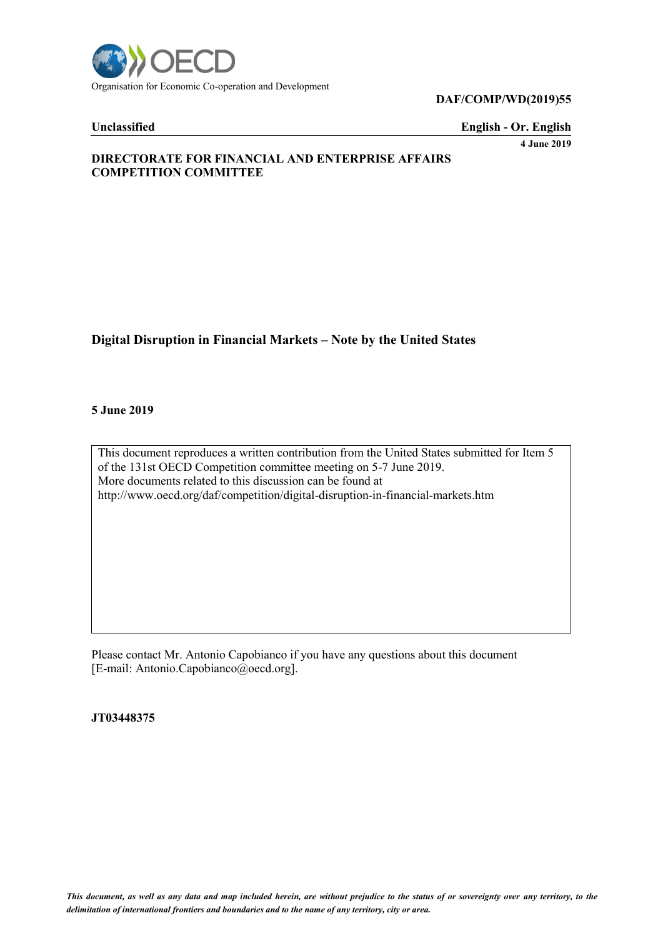

**DAF/COMP/WD(2019)55**

**Unclassified English - Or. English**

**4 June 2019**

# **DIRECTORATE FOR FINANCIAL AND ENTERPRISE AFFAIRS COMPETITION COMMITTEE**

# **Digital Disruption in Financial Markets – Note by the United States**

#### **5 June 2019**

This document reproduces a written contribution from the United States submitted for Item 5 of the 131st OECD Competition committee meeting on 5-7 June 2019. More documents related to this discussion can be found at http://www.oecd.org/daf/competition/digital-disruption-in-financial-markets.htm

Please contact Mr. Antonio Capobianco if you have any questions about this document [E-mail: Antonio.Capobianco@oecd.org].

**JT03448375**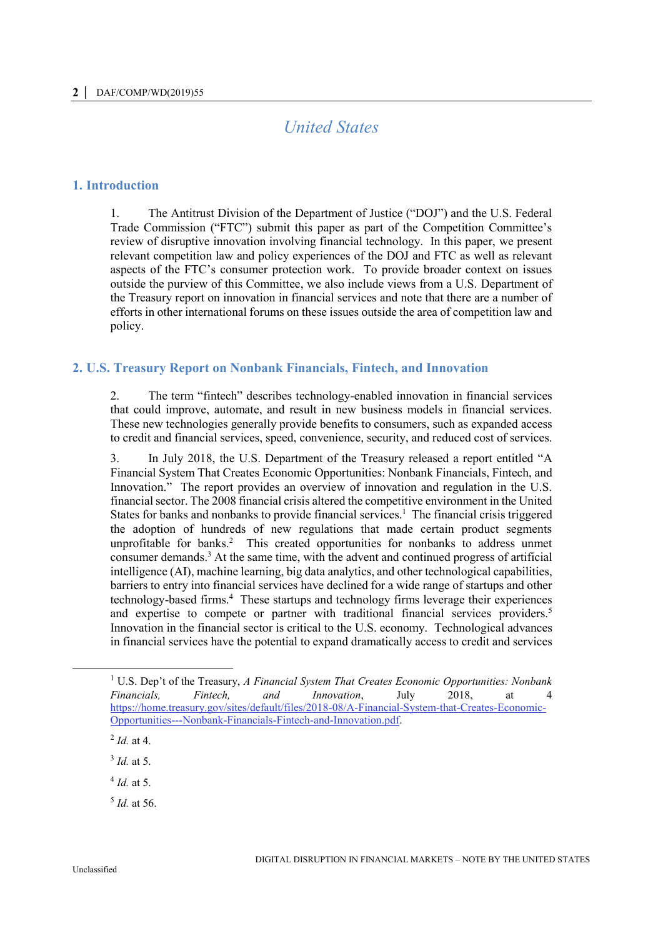# *United States*

## **1. Introduction**

1. The Antitrust Division of the Department of Justice ("DOJ") and the U.S. Federal Trade Commission ("FTC") submit this paper as part of the Competition Committee's review of disruptive innovation involving financial technology. In this paper, we present relevant competition law and policy experiences of the DOJ and FTC as well as relevant aspects of the FTC's consumer protection work. To provide broader context on issues outside the purview of this Committee, we also include views from a U.S. Department of the Treasury report on innovation in financial services and note that there are a number of efforts in other international forums on these issues outside the area of competition law and policy.

## **2. U.S. Treasury Report on Nonbank Financials, Fintech, and Innovation**

2. The term "fintech" describes technology-enabled innovation in financial services that could improve, automate, and result in new business models in financial services. These new technologies generally provide benefits to consumers, such as expanded access to credit and financial services, speed, convenience, security, and reduced cost of services.

3. In July 2018, the U.S. Department of the Treasury released a report entitled "A Financial System That Creates Economic Opportunities: Nonbank Financials, Fintech, and Innovation." The report provides an overview of innovation and regulation in the U.S. financial sector. The 2008 financial crisis altered the competitive environment in the United States for banks and nonbanks to provide financial services.<sup>1</sup> The financial crisis triggered the adoption of hundreds of new regulations that made certain product segments unprofitable for banks.<sup>2</sup> This created opportunities for nonbanks to address unmet consumer demands.<sup>3</sup> At the same time, with the advent and continued progress of artificial intelligence (AI), machine learning, big data analytics, and other technological capabilities, barriers to entry into financial services have declined for a wide range of startups and other technology-based firms.<sup>4</sup> These startups and technology firms leverage their experiences and expertise to compete or partner with traditional financial services providers.<sup>5</sup> Innovation in the financial sector is critical to the U.S. economy. Technological advances in financial services have the potential to expand dramatically access to credit and services

5 *Id.* at 56.

 $\overline{a}$ 

<sup>1</sup> U.S. Dep't of the Treasury, *A Financial System That Creates Economic Opportunities: Nonbank Financials, Fintech, and Innovation*, July 2018, at 4 [https://home.treasury.gov/sites/default/files/2018-08/A-Financial-System-that-Creates-Economic-](https://home.treasury.gov/sites/default/files/2018-08/A-Financial-System-that-Creates-Economic-Opportunities---Nonbank-Financials-Fintech-and-Innovation.pdf)[Opportunities---Nonbank-Financials-Fintech-and-Innovation.pdf.](https://home.treasury.gov/sites/default/files/2018-08/A-Financial-System-that-Creates-Economic-Opportunities---Nonbank-Financials-Fintech-and-Innovation.pdf)

<sup>2</sup> *Id.* at 4.

<sup>3</sup> *Id.* at 5.

<sup>4</sup> *Id.* at 5.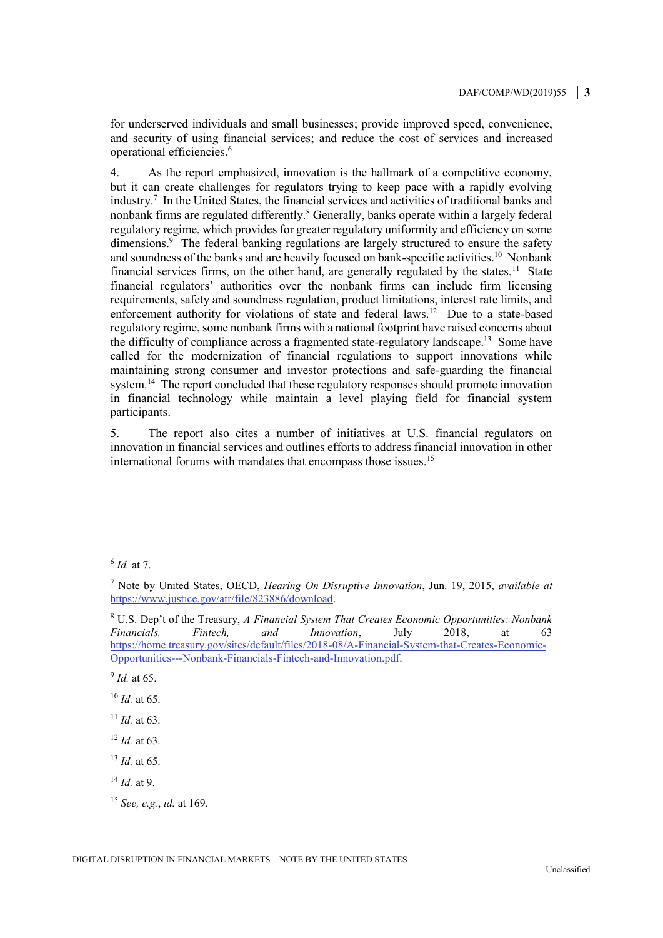for underserved individuals and small businesses; provide improved speed, convenience, and security of using financial services; and reduce the cost of services and increased operational efficiencies.<sup>6</sup>

4. As the report emphasized, innovation is the hallmark of a competitive economy, but it can create challenges for regulators trying to keep pace with a rapidly evolving industry.<sup>7</sup> In the United States, the financial services and activities of traditional banks and nonbank firms are regulated differently.<sup>8</sup> Generally, banks operate within a largely federal regulatory regime, which provides for greater regulatory uniformity and efficiency on some dimensions.<sup>9</sup> The federal banking regulations are largely structured to ensure the safety and soundness of the banks and are heavily focused on bank-specific activities.<sup>10</sup> Nonbank financial services firms, on the other hand, are generally regulated by the states.<sup>11</sup> State financial regulators' authorities over the nonbank firms can include firm licensing requirements, safety and soundness regulation, product limitations, interest rate limits, and enforcement authority for violations of state and federal laws.<sup>12</sup> Due to a state-based regulatory regime, some nonbank firms with a national footprint have raised concerns about the difficulty of compliance across a fragmented state-regulatory landscape.<sup>13</sup> Some have called for the modernization of financial regulations to support innovations while maintaining strong consumer and investor protections and safe-guarding the financial system.<sup>14</sup> The report concluded that these regulatory responses should promote innovation in financial technology while maintain a level playing field for financial system participants.

5. The report also cites a number of initiatives at U.S. financial regulators on innovation in financial services and outlines efforts to address financial innovation in other international forums with mandates that encompass those issues.<sup>15</sup>

 $\overline{a}$ 

9 *Id.* at 65.

<sup>10</sup> *Id.* at 65.

<sup>6</sup> *Id.* at 7.

<sup>7</sup> Note by United States, OECD, *Hearing On Disruptive Innovation*, Jun. 19, 2015, *available at* [https://www.justice.gov/atr/file/823886/download.](https://www.justice.gov/atr/file/823886/download)

<sup>8</sup> U.S. Dep't of the Treasury, *A Financial System That Creates Economic Opportunities: Nonbank Financials, Fintech, and Innovation*, July 2018, at 63 [https://home.treasury.gov/sites/default/files/2018-08/A-Financial-System-that-Creates-Economic-](https://home.treasury.gov/sites/default/files/2018-08/A-Financial-System-that-Creates-Economic-Opportunities---Nonbank-Financials-Fintech-and-Innovation.pdf)[Opportunities---Nonbank-Financials-Fintech-and-Innovation.pdf.](https://home.treasury.gov/sites/default/files/2018-08/A-Financial-System-that-Creates-Economic-Opportunities---Nonbank-Financials-Fintech-and-Innovation.pdf)

<sup>11</sup> *Id.* at 63.

<sup>12</sup> *Id.* at 63.

<sup>13</sup> *Id.* at 65.

<sup>14</sup> *Id.* at 9.

<sup>15</sup> *See, e.g.*, *id.* at 169.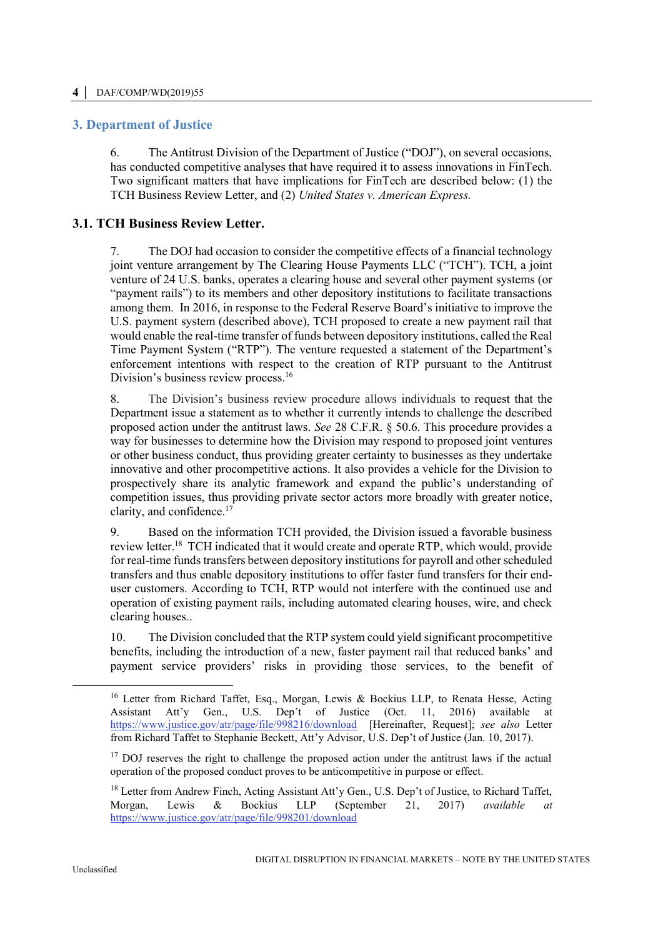# **3. Department of Justice**

6. The Antitrust Division of the Department of Justice ("DOJ"), on several occasions, has conducted competitive analyses that have required it to assess innovations in FinTech. Two significant matters that have implications for FinTech are described below: (1) the TCH Business Review Letter, and (2) *United States v. American Express.*

# **3.1. TCH Business Review Letter.**

7. The DOJ had occasion to consider the competitive effects of a financial technology joint venture arrangement by The Clearing House Payments LLC ("TCH"). TCH, a joint venture of 24 U.S. banks, operates a clearing house and several other payment systems (or "payment rails") to its members and other depository institutions to facilitate transactions among them. In 2016, in response to the Federal Reserve Board's initiative to improve the U.S. payment system (described above), TCH proposed to create a new payment rail that would enable the real-time transfer of funds between depository institutions, called the Real Time Payment System ("RTP"). The venture requested a statement of the Department's enforcement intentions with respect to the creation of RTP pursuant to the Antitrust Division's business review process.<sup>16</sup>

8. The Division's business review procedure allows individuals to request that the Department issue a statement as to whether it currently intends to challenge the described proposed action under the antitrust laws. *See* 28 C.F.R. § 50.6. This procedure provides a way for businesses to determine how the Division may respond to proposed joint ventures or other business conduct, thus providing greater certainty to businesses as they undertake innovative and other procompetitive actions. It also provides a vehicle for the Division to prospectively share its analytic framework and expand the public's understanding of competition issues, thus providing private sector actors more broadly with greater notice, clarity, and confidence.<sup>17</sup>

9. Based on the information TCH provided, the Division issued a favorable business review letter.<sup>18</sup> TCH indicated that it would create and operate RTP, which would, provide for real-time funds transfers between depository institutions for payroll and other scheduled transfers and thus enable depository institutions to offer faster fund transfers for their enduser customers. According to TCH, RTP would not interfere with the continued use and operation of existing payment rails, including automated clearing houses, wire, and check clearing houses..

10. The Division concluded that the RTP system could yield significant procompetitive benefits, including the introduction of a new, faster payment rail that reduced banks' and payment service providers' risks in providing those services, to the benefit of

 $\overline{a}$ 

<sup>&</sup>lt;sup>16</sup> Letter from Richard Taffet, Esq., Morgan, Lewis & Bockius LLP, to Renata Hesse, Acting Assistant Att'y Gen., U.S. Dep't of Justice (Oct. 11, 2016) available at <https://www.justice.gov/atr/page/file/998216/download>[Hereinafter, Request]; *see also* Letter from Richard Taffet to Stephanie Beckett, Att'y Advisor, U.S. Dep't of Justice (Jan. 10, 2017).

<sup>&</sup>lt;sup>17</sup> DOJ reserves the right to challenge the proposed action under the antitrust laws if the actual operation of the proposed conduct proves to be anticompetitive in purpose or effect.

<sup>&</sup>lt;sup>18</sup> Letter from Andrew Finch, Acting Assistant Att'y Gen., U.S. Dep't of Justice, to Richard Taffet, Morgan, Lewis & Bockius LLP (September 21, 2017) *available at* <https://www.justice.gov/atr/page/file/998201/download>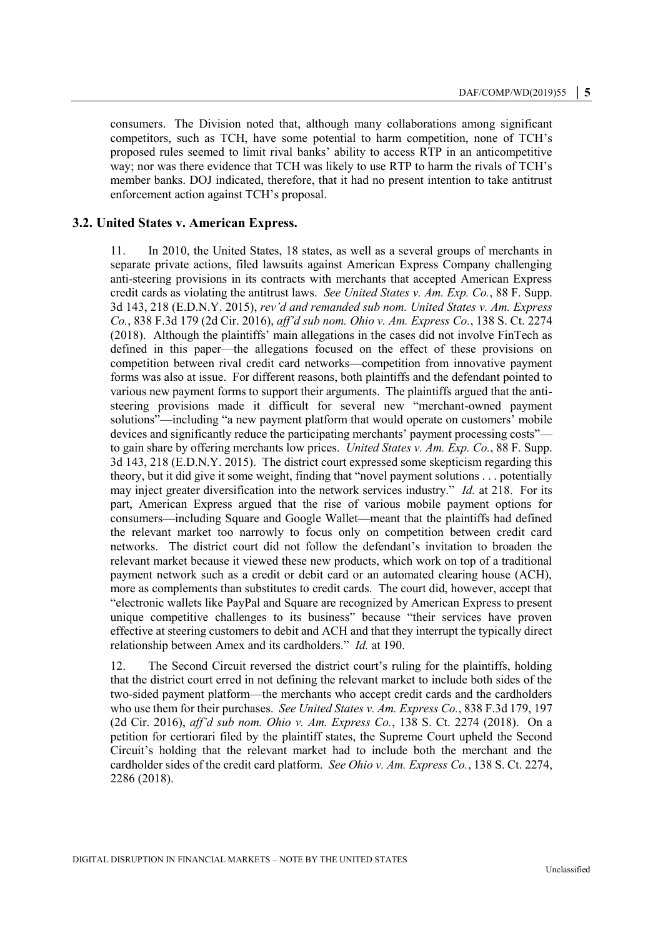consumers. The Division noted that, although many collaborations among significant competitors, such as TCH, have some potential to harm competition, none of TCH's proposed rules seemed to limit rival banks' ability to access RTP in an anticompetitive way; nor was there evidence that TCH was likely to use RTP to harm the rivals of TCH's member banks. DOJ indicated, therefore, that it had no present intention to take antitrust enforcement action against TCH's proposal.

#### **3.2. United States v. American Express.**

11. In 2010, the United States, 18 states, as well as a several groups of merchants in separate private actions, filed lawsuits against American Express Company challenging anti-steering provisions in its contracts with merchants that accepted American Express credit cards as violating the antitrust laws. *See United States v. Am. Exp. Co.*, 88 F. Supp. 3d 143, 218 (E.D.N.Y. 2015), *rev'd and remanded sub nom. United States v. Am. Express Co.*, 838 F.3d 179 (2d Cir. 2016), *aff'd sub nom. Ohio v. Am. Express Co.*, 138 S. Ct. 2274 (2018). Although the plaintiffs' main allegations in the cases did not involve FinTech as defined in this paper—the allegations focused on the effect of these provisions on competition between rival credit card networks—competition from innovative payment forms was also at issue. For different reasons, both plaintiffs and the defendant pointed to various new payment forms to support their arguments. The plaintiffs argued that the antisteering provisions made it difficult for several new "merchant-owned payment solutions"—including "a new payment platform that would operate on customers' mobile devices and significantly reduce the participating merchants' payment processing costs" to gain share by offering merchants low prices. *United States v. Am. Exp. Co.*, 88 F. Supp. 3d 143, 218 (E.D.N.Y. 2015). The district court expressed some skepticism regarding this theory, but it did give it some weight, finding that "novel payment solutions . . . potentially may inject greater diversification into the network services industry." *Id.* at 218. For its part, American Express argued that the rise of various mobile payment options for consumers—including Square and Google Wallet—meant that the plaintiffs had defined the relevant market too narrowly to focus only on competition between credit card networks. The district court did not follow the defendant's invitation to broaden the relevant market because it viewed these new products, which work on top of a traditional payment network such as a credit or debit card or an automated clearing house (ACH), more as complements than substitutes to credit cards. The court did, however, accept that "electronic wallets like PayPal and Square are recognized by American Express to present unique competitive challenges to its business" because "their services have proven effective at steering customers to debit and ACH and that they interrupt the typically direct relationship between Amex and its cardholders." *Id.* at 190.

12. The Second Circuit reversed the district court's ruling for the plaintiffs, holding that the district court erred in not defining the relevant market to include both sides of the two-sided payment platform—the merchants who accept credit cards and the cardholders who use them for their purchases. *See United States v. Am. Express Co.*, 838 F.3d 179, 197 (2d Cir. 2016), *aff'd sub nom. Ohio v. Am. Express Co.*, 138 S. Ct. 2274 (2018). On a petition for certiorari filed by the plaintiff states, the Supreme Court upheld the Second Circuit's holding that the relevant market had to include both the merchant and the cardholder sides of the credit card platform. *See Ohio v. Am. Express Co.*, 138 S. Ct. 2274, 2286 (2018).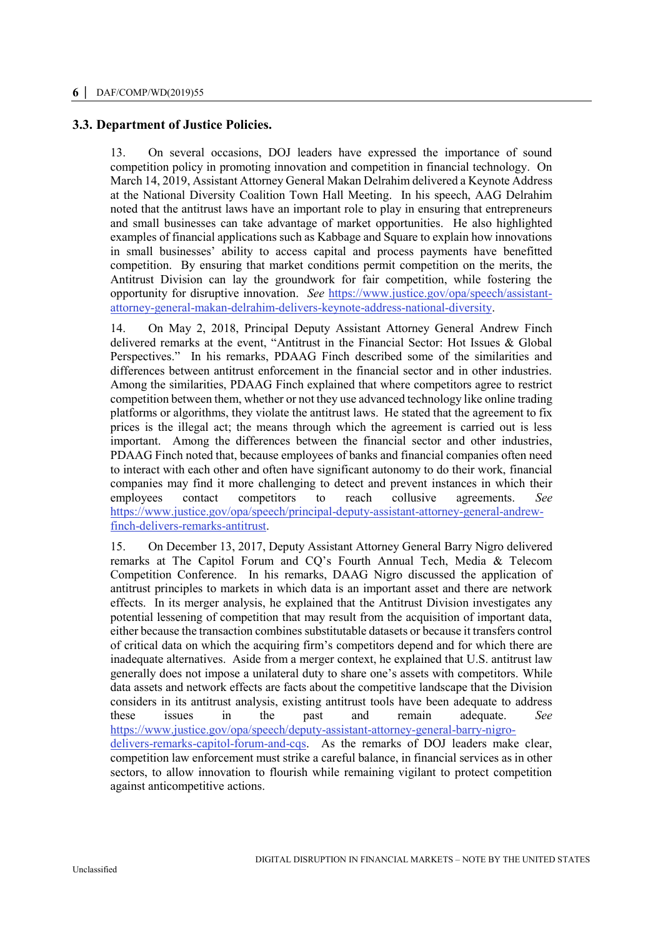# **3.3. Department of Justice Policies.**

13. On several occasions, DOJ leaders have expressed the importance of sound competition policy in promoting innovation and competition in financial technology. On March 14, 2019, Assistant Attorney General Makan Delrahim delivered a Keynote Address at the National Diversity Coalition Town Hall Meeting. In his speech, AAG Delrahim noted that the antitrust laws have an important role to play in ensuring that entrepreneurs and small businesses can take advantage of market opportunities. He also highlighted examples of financial applications such as Kabbage and Square to explain how innovations in small businesses' ability to access capital and process payments have benefitted competition. By ensuring that market conditions permit competition on the merits, the Antitrust Division can lay the groundwork for fair competition, while fostering the opportunity for disruptive innovation. *See* [https://www.justice.gov/opa/speech/assistant](https://www.justice.gov/opa/speech/assistant-attorney-general-makan-delrahim-delivers-keynote-address-national-diversity)[attorney-general-makan-delrahim-delivers-keynote-address-national-diversity.](https://www.justice.gov/opa/speech/assistant-attorney-general-makan-delrahim-delivers-keynote-address-national-diversity)

14. On May 2, 2018, Principal Deputy Assistant Attorney General Andrew Finch delivered remarks at the event, "Antitrust in the Financial Sector: Hot Issues & Global Perspectives." In his remarks, PDAAG Finch described some of the similarities and differences between antitrust enforcement in the financial sector and in other industries. Among the similarities, PDAAG Finch explained that where competitors agree to restrict competition between them, whether or not they use advanced technology like online trading platforms or algorithms, they violate the antitrust laws. He stated that the agreement to fix prices is the illegal act; the means through which the agreement is carried out is less important. Among the differences between the financial sector and other industries, PDAAG Finch noted that, because employees of banks and financial companies often need to interact with each other and often have significant autonomy to do their work, financial companies may find it more challenging to detect and prevent instances in which their employees contact competitors to reach collusive agreements. *See*  [https://www.justice.gov/opa/speech/principal-deputy-assistant-attorney-general-andrew](https://www.justice.gov/opa/speech/principal-deputy-assistant-attorney-general-andrew-finch-delivers-remarks-antitrust)[finch-delivers-remarks-antitrust.](https://www.justice.gov/opa/speech/principal-deputy-assistant-attorney-general-andrew-finch-delivers-remarks-antitrust)

15. On December 13, 2017, Deputy Assistant Attorney General Barry Nigro delivered remarks at The Capitol Forum and CQ's Fourth Annual Tech, Media & Telecom Competition Conference. In his remarks, DAAG Nigro discussed the application of antitrust principles to markets in which data is an important asset and there are network effects. In its merger analysis, he explained that the Antitrust Division investigates any potential lessening of competition that may result from the acquisition of important data, either because the transaction combines substitutable datasets or because it transfers control of critical data on which the acquiring firm's competitors depend and for which there are inadequate alternatives. Aside from a merger context, he explained that U.S. antitrust law generally does not impose a unilateral duty to share one's assets with competitors. While data assets and network effects are facts about the competitive landscape that the Division considers in its antitrust analysis, existing antitrust tools have been adequate to address these issues in the past and remain adequate. *See* [https://www.justice.gov/opa/speech/deputy-assistant-attorney-general-barry-nigro](https://www.justice.gov/opa/speech/deputy-assistant-attorney-general-barry-nigro-delivers-remarks-capitol-forum-and-cqs)[delivers-remarks-capitol-forum-and-cqs.](https://www.justice.gov/opa/speech/deputy-assistant-attorney-general-barry-nigro-delivers-remarks-capitol-forum-and-cqs) As the remarks of DOJ leaders make clear, competition law enforcement must strike a careful balance, in financial services as in other sectors, to allow innovation to flourish while remaining vigilant to protect competition against anticompetitive actions.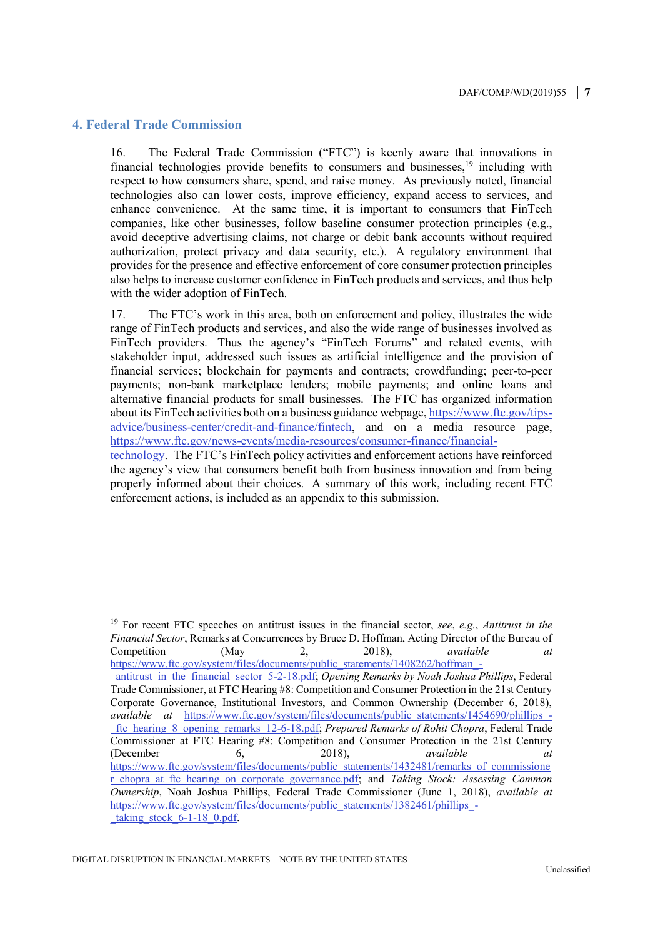#### **4. Federal Trade Commission**

 $\overline{a}$ 

16. The Federal Trade Commission ("FTC") is keenly aware that innovations in financial technologies provide benefits to consumers and businesses,<sup>19</sup> including with respect to how consumers share, spend, and raise money. As previously noted, financial technologies also can lower costs, improve efficiency, expand access to services, and enhance convenience. At the same time, it is important to consumers that FinTech companies, like other businesses, follow baseline consumer protection principles (e.g., avoid deceptive advertising claims, not charge or debit bank accounts without required authorization, protect privacy and data security, etc.). A regulatory environment that provides for the presence and effective enforcement of core consumer protection principles also helps to increase customer confidence in FinTech products and services, and thus help with the wider adoption of FinTech.

17. The FTC's work in this area, both on enforcement and policy, illustrates the wide range of FinTech products and services, and also the wide range of businesses involved as FinTech providers. Thus the agency's "FinTech Forums" and related events, with stakeholder input, addressed such issues as artificial intelligence and the provision of financial services; blockchain for payments and contracts; crowdfunding; peer-to-peer payments; non-bank marketplace lenders; mobile payments; and online loans and alternative financial products for small businesses. The FTC has organized information about its FinTech activities both on a business guidance webpage[, https://www.ftc.gov/tips](https://www.ftc.gov/tips-advice/business-center/credit-and-finance/fintech)[advice/business-center/credit-and-finance/fintech,](https://www.ftc.gov/tips-advice/business-center/credit-and-finance/fintech) and on a media resource page, [https://www.ftc.gov/news-events/media-resources/consumer-finance/financial](https://www.ftc.gov/news-events/media-resources/consumer-finance/financial-technology)[technology.](https://www.ftc.gov/news-events/media-resources/consumer-finance/financial-technology) The FTC's FinTech policy activities and enforcement actions have reinforced the agency's view that consumers benefit both from business innovation and from being

properly informed about their choices. A summary of this work, including recent FTC enforcement actions, is included as an appendix to this submission.

<sup>19</sup> For recent FTC speeches on antitrust issues in the financial sector, *see*, *e.g.*, *Antitrust in the Financial Sector*, Remarks at Concurrences by Bruce D. Hoffman, Acting Director of the Bureau of Competition (May 2, 2018), *available at* [https://www.ftc.gov/system/files/documents/public\\_statements/1408262/hoffman\\_-](https://www.ftc.gov/system/files/documents/public_statements/1408262/hoffman_-_antitrust_in_the_financial_sector_5-2-18.pdf) [\\_antitrust\\_in\\_the\\_financial\\_sector\\_5-2-18.pdf;](https://www.ftc.gov/system/files/documents/public_statements/1408262/hoffman_-_antitrust_in_the_financial_sector_5-2-18.pdf) *Opening Remarks by Noah Joshua Phillips*, Federal Trade Commissioner, at FTC Hearing #8: Competition and Consumer Protection in the 21st Century Corporate Governance, Institutional Investors, and Common Ownership (December 6, 2018), *available at* [https://www.ftc.gov/system/files/documents/public\\_statements/1454690/phillips\\_-](https://www.ftc.gov/system/files/documents/public_statements/1454690/phillips_-_ftc_hearing_8_opening_remarks_12-6-18.pdf) [\\_ftc\\_hearing\\_8\\_opening\\_remarks\\_12-6-18.pdf;](https://www.ftc.gov/system/files/documents/public_statements/1454690/phillips_-_ftc_hearing_8_opening_remarks_12-6-18.pdf) *Prepared Remarks of Rohit Chopra*, Federal Trade Commissioner at FTC Hearing #8: Competition and Consumer Protection in the 21st Century (December 6, 2018), *available at*  [https://www.ftc.gov/system/files/documents/public\\_statements/1432481/remarks\\_of\\_commissione](https://www.ftc.gov/system/files/documents/public_statements/1432481/remarks_of_commissioner_chopra_at_ftc_hearing_on_corporate_governance.pdf) [r\\_chopra\\_at\\_ftc\\_hearing\\_on\\_corporate\\_governance.pdf;](https://www.ftc.gov/system/files/documents/public_statements/1432481/remarks_of_commissioner_chopra_at_ftc_hearing_on_corporate_governance.pdf) and *Taking Stock: Assessing Common Ownership*, Noah Joshua Phillips, Federal Trade Commissioner (June 1, 2018), *available at*  [https://www.ftc.gov/system/files/documents/public\\_statements/1382461/phillips\\_](https://www.ftc.gov/system/files/documents/public_statements/1382461/phillips_-_taking_stock_6-1-18_0.pdf) taking stock  $6-1-18$  0.pdf.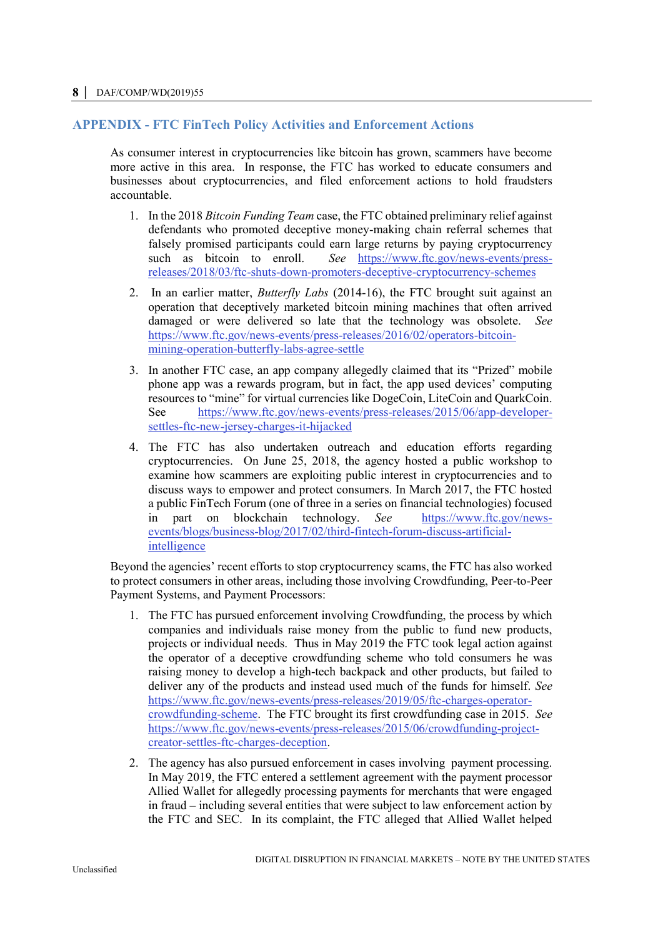# **APPENDIX - FTC FinTech Policy Activities and Enforcement Actions**

As consumer interest in cryptocurrencies like bitcoin has grown, scammers have become more active in this area. In response, the FTC has worked to educate consumers and businesses about cryptocurrencies, and filed enforcement actions to hold fraudsters accountable.

- 1. In the 2018 *Bitcoin Funding Team* case, the FTC obtained preliminary relief against defendants who promoted deceptive money-making chain referral schemes that falsely promised participants could earn large returns by paying cryptocurrency such as bitcoin to enroll. *See* [https://www.ftc.gov/news-events/press](https://www.ftc.gov/news-events/press-releases/2018/03/ftc-shuts-down-promoters-deceptive-cryptocurrency-schemes)[releases/2018/03/ftc-shuts-down-promoters-deceptive-cryptocurrency-schemes](https://www.ftc.gov/news-events/press-releases/2018/03/ftc-shuts-down-promoters-deceptive-cryptocurrency-schemes)
- 2. In an earlier matter, *Butterfly Labs* (2014-16), the FTC brought suit against an operation that deceptively marketed bitcoin mining machines that often arrived damaged or were delivered so late that the technology was obsolete. *See* [https://www.ftc.gov/news-events/press-releases/2016/02/operators-bitcoin](https://www.ftc.gov/news-events/press-releases/2016/02/operators-bitcoin-mining-operation-butterfly-labs-agree-settle)[mining-operation-butterfly-labs-agree-settle](https://www.ftc.gov/news-events/press-releases/2016/02/operators-bitcoin-mining-operation-butterfly-labs-agree-settle)
- 3. In another FTC case, an app company allegedly claimed that its "Prized" mobile phone app was a rewards program, but in fact, the app used devices' computing resources to "mine" for virtual currencies like DogeCoin, LiteCoin and QuarkCoin. See [https://www.ftc.gov/news-events/press-releases/2015/06/app-developer](https://www.ftc.gov/news-events/press-releases/2015/06/app-developer-settles-ftc-new-jersey-charges-it-hijacked)[settles-ftc-new-jersey-charges-it-hijacked](https://www.ftc.gov/news-events/press-releases/2015/06/app-developer-settles-ftc-new-jersey-charges-it-hijacked)
- 4. The FTC has also undertaken outreach and education efforts regarding cryptocurrencies. On June 25, 2018, the agency hosted a public workshop to examine how scammers are exploiting public interest in cryptocurrencies and to discuss ways to empower and protect consumers. In March 2017, the FTC hosted a public FinTech Forum (one of three in a series on financial technologies) focused in part on blockchain technology. *See* [https://www.ftc.gov/news](https://www.ftc.gov/news-events/blogs/business-blog/2017/02/third-fintech-forum-discuss-artificial-intelligence)[events/blogs/business-blog/2017/02/third-fintech-forum-discuss-artificial](https://www.ftc.gov/news-events/blogs/business-blog/2017/02/third-fintech-forum-discuss-artificial-intelligence)[intelligence](https://www.ftc.gov/news-events/blogs/business-blog/2017/02/third-fintech-forum-discuss-artificial-intelligence)

Beyond the agencies' recent efforts to stop cryptocurrency scams, the FTC has also worked to protect consumers in other areas, including those involving Crowdfunding, Peer-to-Peer Payment Systems, and Payment Processors:

- 1. The FTC has pursued enforcement involving Crowdfunding, the process by which companies and individuals raise money from the public to fund new products, projects or individual needs. Thus in May 2019 the FTC took legal action against the operator of a deceptive crowdfunding scheme who told consumers he was raising money to develop a high-tech backpack and other products, but failed to deliver any of the products and instead used much of the funds for himself. *See*  [https://www.ftc.gov/news-events/press-releases/2019/05/ftc-charges-operator](https://www.ftc.gov/news-events/press-releases/2019/05/ftc-charges-operator-crowdfunding-scheme)[crowdfunding-scheme.](https://www.ftc.gov/news-events/press-releases/2019/05/ftc-charges-operator-crowdfunding-scheme) The FTC brought its first crowdfunding case in 2015. *See* [https://www.ftc.gov/news-events/press-releases/2015/06/crowdfunding-project](https://www.ftc.gov/news-events/press-releases/2015/06/crowdfunding-project-creator-settles-ftc-charges-deception)[creator-settles-ftc-charges-deception.](https://www.ftc.gov/news-events/press-releases/2015/06/crowdfunding-project-creator-settles-ftc-charges-deception)
- 2. The agency has also pursued enforcement in cases involving payment processing. In May 2019, the FTC entered a settlement agreement with the payment processor Allied Wallet for allegedly processing payments for merchants that were engaged in fraud – including several entities that were subject to law enforcement action by the FTC and SEC. In its complaint, the FTC alleged that Allied Wallet helped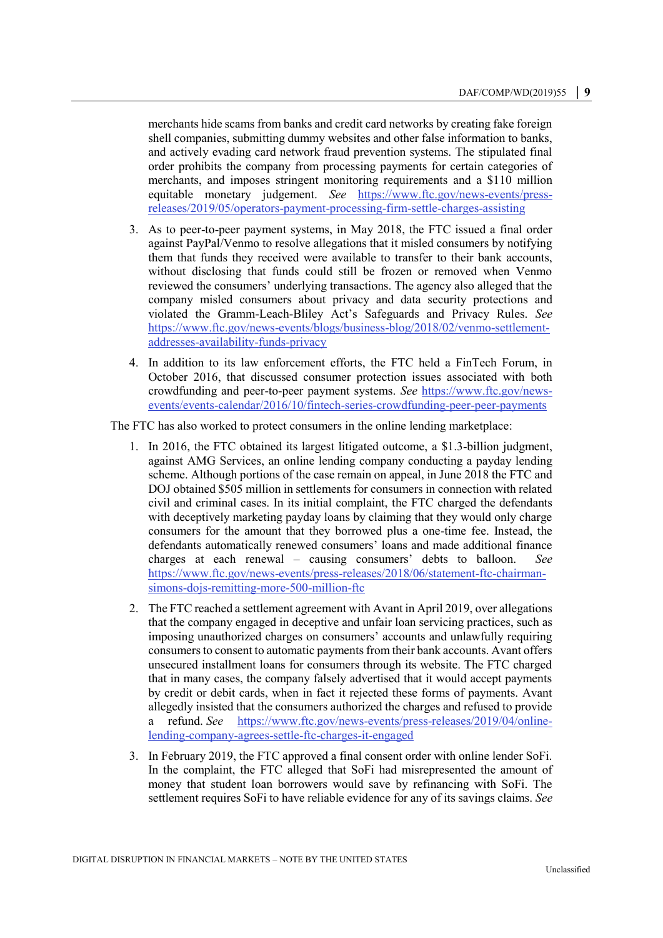merchants hide scams from banks and credit card networks by creating fake foreign shell companies, submitting dummy websites and other false information to banks, and actively evading card network fraud prevention systems. The stipulated final order prohibits the company from processing payments for certain categories of merchants, and imposes stringent monitoring requirements and a \$110 million equitable monetary judgement. *See* [https://www.ftc.gov/news-events/press](https://www.ftc.gov/news-events/press-releases/2019/05/operators-payment-processing-firm-settle-charges-assisting)[releases/2019/05/operators-payment-processing-firm-settle-charges-assisting](https://www.ftc.gov/news-events/press-releases/2019/05/operators-payment-processing-firm-settle-charges-assisting)

- 3. As to peer-to-peer payment systems, in May 2018, the FTC issued a final order against PayPal/Venmo to resolve allegations that it misled consumers by notifying them that funds they received were available to transfer to their bank accounts, without disclosing that funds could still be frozen or removed when Venmo reviewed the consumers' underlying transactions. The agency also alleged that the company misled consumers about privacy and data security protections and violated the Gramm-Leach-Bliley Act's Safeguards and Privacy Rules. *See* https://www.ftc.gov/news-events/blogs/business-blog/2018/02/venmo-settlementaddresses-availability-funds-privacy
- 4. In addition to its law enforcement efforts, the FTC held a FinTech Forum, in October 2016, that discussed consumer protection issues associated with both crowdfunding and peer-to-peer payment systems. *See* [https://www.ftc.gov/news](https://www.ftc.gov/news-events/events-calendar/2016/10/fintech-series-crowdfunding-peer-peer-payments)[events/events-calendar/2016/10/fintech-series-crowdfunding-peer-peer-payments](https://www.ftc.gov/news-events/events-calendar/2016/10/fintech-series-crowdfunding-peer-peer-payments)

The FTC has also worked to protect consumers in the online lending marketplace:

- 1. In 2016, the FTC obtained its largest litigated outcome, a \$1.3-billion judgment, against AMG Services, an online lending company conducting a payday lending scheme. Although portions of the case remain on appeal, in June 2018 the FTC and DOJ obtained \$505 million in settlements for consumers in connection with related civil and criminal cases. In its initial complaint, the FTC charged the defendants with deceptively marketing payday loans by claiming that they would only charge consumers for the amount that they borrowed plus a one-time fee. Instead, the defendants automatically renewed consumers' loans and made additional finance charges at each renewal – causing consumers' debts to balloon. *See*  [https://www.ftc.gov/news-events/press-releases/2018/06/statement-ftc-chairman](https://www.ftc.gov/news-events/press-releases/2018/06/statement-ftc-chairman-simons-dojs-remitting-more-500-million-ftc)[simons-dojs-remitting-more-500-million-ftc](https://www.ftc.gov/news-events/press-releases/2018/06/statement-ftc-chairman-simons-dojs-remitting-more-500-million-ftc)
- 2. The FTC reached a settlement agreement with Avant in April 2019, over allegations that the company [engaged in deceptive and unfair loan servicing practices,](https://www.ftc.gov/system/files/documents/cases/162_3090_avant_llc_proposed_stipulated_order_4-15-19.pdf) such as imposing unauthorized charges on consumers' accounts and unlawfully requiring consumers to consent to automatic payments from their bank accounts. Avant offers unsecured installment loans for consumers through its website. The FTC charged that in many cases, the company falsely advertised that it would accept payments by credit or debit cards, when in fact it rejected these forms of payments. Avant allegedly insisted that the consumers authorized the charges and refused to provide a refund. *See* [https://www.ftc.gov/news-events/press-releases/2019/04/online](https://www.ftc.gov/news-events/press-releases/2019/04/online-lending-company-agrees-settle-ftc-charges-it-engaged)[lending-company-agrees-settle-ftc-charges-it-engaged](https://www.ftc.gov/news-events/press-releases/2019/04/online-lending-company-agrees-settle-ftc-charges-it-engaged)
- 3. In February 2019, the FTC approved a final consent order with online lender SoFi. In the complaint, the FTC alleged that SoFi had misrepresented the amount of money that student loan borrowers would save by refinancing with SoFi. The settlement requires SoFi to have reliable evidence for any of its savings claims. *See*